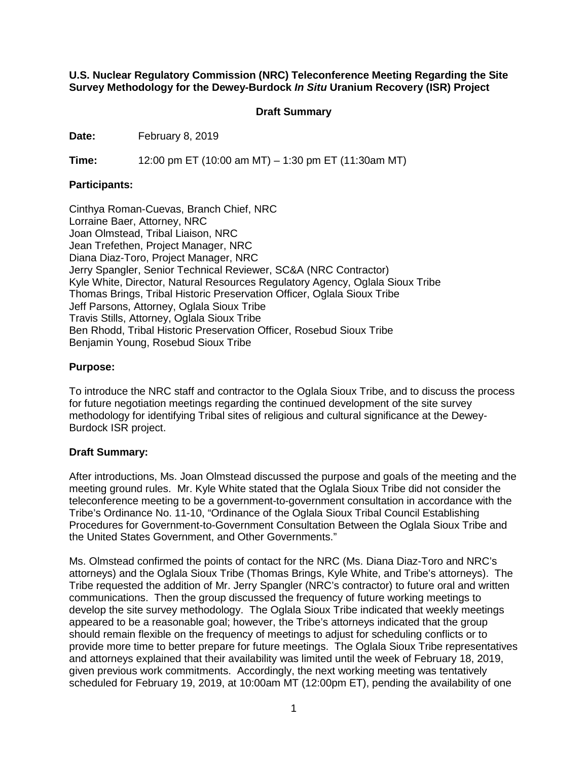**U.S. Nuclear Regulatory Commission (NRC) Teleconference Meeting Regarding the Site Survey Methodology for the Dewey-Burdock** *In Situ* **Uranium Recovery (ISR) Project**

### **Draft Summary**

**Date:** February 8, 2019

**Time:** 12:00 pm ET (10:00 am MT) – 1:30 pm ET (11:30am MT)

### **Participants:**

Cinthya Roman-Cuevas, Branch Chief, NRC Lorraine Baer, Attorney, NRC Joan Olmstead, Tribal Liaison, NRC Jean Trefethen, Project Manager, NRC Diana Diaz-Toro, Project Manager, NRC Jerry Spangler, Senior Technical Reviewer, SC&A (NRC Contractor) Kyle White, Director, Natural Resources Regulatory Agency, Oglala Sioux Tribe Thomas Brings, Tribal Historic Preservation Officer, Oglala Sioux Tribe Jeff Parsons, Attorney, Oglala Sioux Tribe Travis Stills, Attorney, Oglala Sioux Tribe Ben Rhodd, Tribal Historic Preservation Officer, Rosebud Sioux Tribe Benjamin Young, Rosebud Sioux Tribe

## **Purpose:**

To introduce the NRC staff and contractor to the Oglala Sioux Tribe, and to discuss the process for future negotiation meetings regarding the continued development of the site survey methodology for identifying Tribal sites of religious and cultural significance at the Dewey-Burdock ISR project.

# **Draft Summary:**

After introductions, Ms. Joan Olmstead discussed the purpose and goals of the meeting and the meeting ground rules. Mr. Kyle White stated that the Oglala Sioux Tribe did not consider the teleconference meeting to be a government-to-government consultation in accordance with the Tribe's Ordinance No. 11-10, "Ordinance of the Oglala Sioux Tribal Council Establishing Procedures for Government-to-Government Consultation Between the Oglala Sioux Tribe and the United States Government, and Other Governments."

Ms. Olmstead confirmed the points of contact for the NRC (Ms. Diana Diaz-Toro and NRC's attorneys) and the Oglala Sioux Tribe (Thomas Brings, Kyle White, and Tribe's attorneys). The Tribe requested the addition of Mr. Jerry Spangler (NRC's contractor) to future oral and written communications. Then the group discussed the frequency of future working meetings to develop the site survey methodology. The Oglala Sioux Tribe indicated that weekly meetings appeared to be a reasonable goal; however, the Tribe's attorneys indicated that the group should remain flexible on the frequency of meetings to adjust for scheduling conflicts or to provide more time to better prepare for future meetings. The Oglala Sioux Tribe representatives and attorneys explained that their availability was limited until the week of February 18, 2019, given previous work commitments. Accordingly, the next working meeting was tentatively scheduled for February 19, 2019, at 10:00am MT (12:00pm ET), pending the availability of one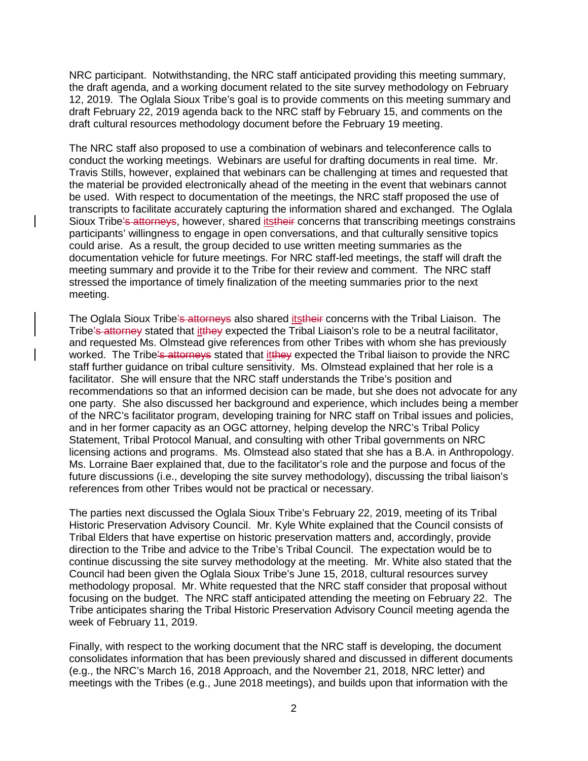NRC participant. Notwithstanding, the NRC staff anticipated providing this meeting summary, the draft agenda, and a working document related to the site survey methodology on February 12, 2019. The Oglala Sioux Tribe's goal is to provide comments on this meeting summary and draft February 22, 2019 agenda back to the NRC staff by February 15, and comments on the draft cultural resources methodology document before the February 19 meeting.

The NRC staff also proposed to use a combination of webinars and teleconference calls to conduct the working meetings. Webinars are useful for drafting documents in real time. Mr. Travis Stills, however, explained that webinars can be challenging at times and requested that the material be provided electronically ahead of the meeting in the event that webinars cannot be used. With respect to documentation of the meetings, the NRC staff proposed the use of transcripts to facilitate accurately capturing the information shared and exchanged. The Oglala Sioux Tribe's attorneys, however, shared itstheir concerns that transcribing meetings constrains participants' willingness to engage in open conversations, and that culturally sensitive topics could arise. As a result, the group decided to use written meeting summaries as the documentation vehicle for future meetings. For NRC staff-led meetings, the staff will draft the meeting summary and provide it to the Tribe for their review and comment. The NRC staff stressed the importance of timely finalization of the meeting summaries prior to the next meeting.

The Oglala Sioux Tribe's attorneys also shared itstheir concerns with the Tribal Liaison. The Tribe's attorney stated that itthey expected the Tribal Liaison's role to be a neutral facilitator, and requested Ms. Olmstead give references from other Tribes with whom she has previously worked. The Tribe's attorneys stated that it they expected the Tribal liaison to provide the NRC staff further guidance on tribal culture sensitivity. Ms. Olmstead explained that her role is a facilitator. She will ensure that the NRC staff understands the Tribe's position and recommendations so that an informed decision can be made, but she does not advocate for any one party. She also discussed her background and experience, which includes being a member of the NRC's facilitator program, developing training for NRC staff on Tribal issues and policies, and in her former capacity as an OGC attorney, helping develop the NRC's Tribal Policy Statement, Tribal Protocol Manual, and consulting with other Tribal governments on NRC licensing actions and programs. Ms. Olmstead also stated that she has a B.A. in Anthropology. Ms. Lorraine Baer explained that, due to the facilitator's role and the purpose and focus of the future discussions (i.e., developing the site survey methodology), discussing the tribal liaison's references from other Tribes would not be practical or necessary.

The parties next discussed the Oglala Sioux Tribe's February 22, 2019, meeting of its Tribal Historic Preservation Advisory Council. Mr. Kyle White explained that the Council consists of Tribal Elders that have expertise on historic preservation matters and, accordingly, provide direction to the Tribe and advice to the Tribe's Tribal Council. The expectation would be to continue discussing the site survey methodology at the meeting. Mr. White also stated that the Council had been given the Oglala Sioux Tribe's June 15, 2018, cultural resources survey methodology proposal. Mr. White requested that the NRC staff consider that proposal without focusing on the budget. The NRC staff anticipated attending the meeting on February 22. The Tribe anticipates sharing the Tribal Historic Preservation Advisory Council meeting agenda the week of February 11, 2019.

Finally, with respect to the working document that the NRC staff is developing, the document consolidates information that has been previously shared and discussed in different documents (e.g., the NRC's March 16, 2018 Approach, and the November 21, 2018, NRC letter) and meetings with the Tribes (e.g., June 2018 meetings), and builds upon that information with the